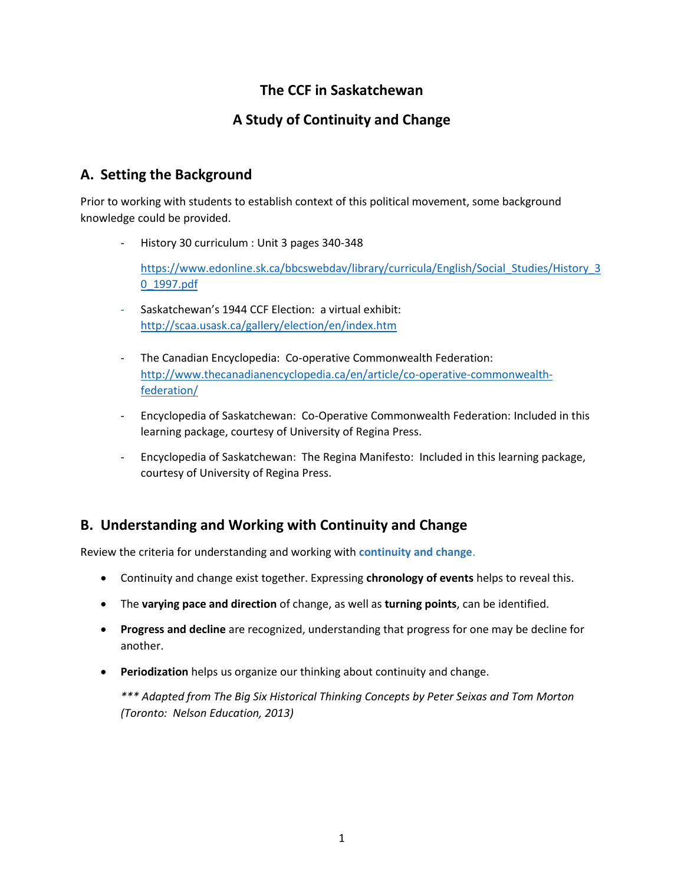## **The CCF in Saskatchewan**

## **A Study of Continuity and Change**

## **A. Setting the Background**

Prior to working with students to establish context of this political movement, some background knowledge could be provided.

- History 30 curriculum : Unit 3 pages 340-348

[https://www.edonline.sk.ca/bbcswebdav/library/curricula/English/Social\\_Studies/History\\_3](https://www.edonline.sk.ca/bbcswebdav/library/curricula/English/Social_Studies/History_30_1997.pdf) [0\\_1997.pdf](https://www.edonline.sk.ca/bbcswebdav/library/curricula/English/Social_Studies/History_30_1997.pdf)

- Saskatchewan's 1944 CCF Election: a virtual exhibit: <http://scaa.usask.ca/gallery/election/en/index.htm>
- The Canadian Encyclopedia: Co-operative Commonwealth Federation: [http://www.thecanadianencyclopedia.ca/en/article/co-operative-commonwealth](http://www.thecanadianencyclopedia.ca/en/article/co-operative-commonwealth-federation/)[federation/](http://www.thecanadianencyclopedia.ca/en/article/co-operative-commonwealth-federation/)
- Encyclopedia of Saskatchewan: Co-Operative Commonwealth Federation: Included in this learning package, courtesy of University of Regina Press.
- Encyclopedia of Saskatchewan: The Regina Manifesto: Included in this learning package, courtesy of University of Regina Press.

## **B. Understanding and Working with Continuity and Change**

Review the criteria for understanding and working with **continuity and change**.

- Continuity and change exist together. Expressing **chronology of events** helps to reveal this.
- The **varying pace and direction** of change, as well as **turning points**, can be identified.
- **Progress and decline** are recognized, understanding that progress for one may be decline for another.
- **Periodization** helps us organize our thinking about continuity and change.

*\*\*\* Adapted from The Big Six Historical Thinking Concepts by Peter Seixas and Tom Morton (Toronto: Nelson Education, 2013)*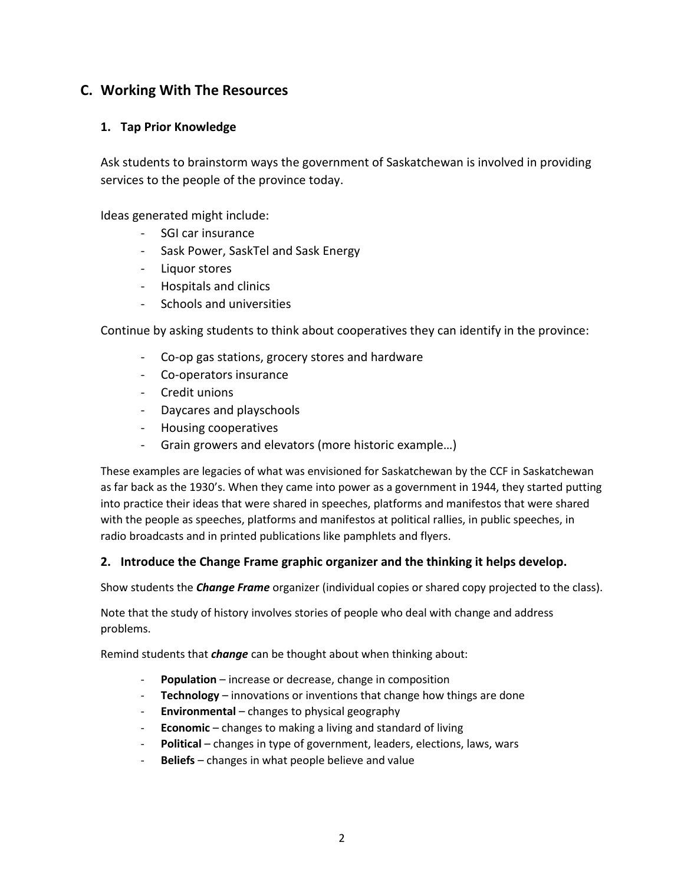## **C. Working With The Resources**

#### **1. Tap Prior Knowledge**

Ask students to brainstorm ways the government of Saskatchewan is involved in providing services to the people of the province today.

Ideas generated might include:

- SGI car insurance
- Sask Power, SaskTel and Sask Energy
- Liquor stores
- Hospitals and clinics
- Schools and universities

Continue by asking students to think about cooperatives they can identify in the province:

- Co-op gas stations, grocery stores and hardware
- Co-operators insurance
- Credit unions
- Daycares and playschools
- Housing cooperatives
- Grain growers and elevators (more historic example…)

These examples are legacies of what was envisioned for Saskatchewan by the CCF in Saskatchewan as far back as the 1930's. When they came into power as a government in 1944, they started putting into practice their ideas that were shared in speeches, platforms and manifestos that were shared with the people as speeches, platforms and manifestos at political rallies, in public speeches, in radio broadcasts and in printed publications like pamphlets and flyers.

#### **2. Introduce the Change Frame graphic organizer and the thinking it helps develop.**

Show students the *Change Frame* organizer (individual copies or shared copy projected to the class).

Note that the study of history involves stories of people who deal with change and address problems.

Remind students that *change* can be thought about when thinking about:

- Population increase or decrease, change in composition
- **Technology** innovations or inventions that change how things are done
- **Environmental** changes to physical geography
- **Economic** changes to making a living and standard of living
- **Political** changes in type of government, leaders, elections, laws, wars
- **Beliefs** changes in what people believe and value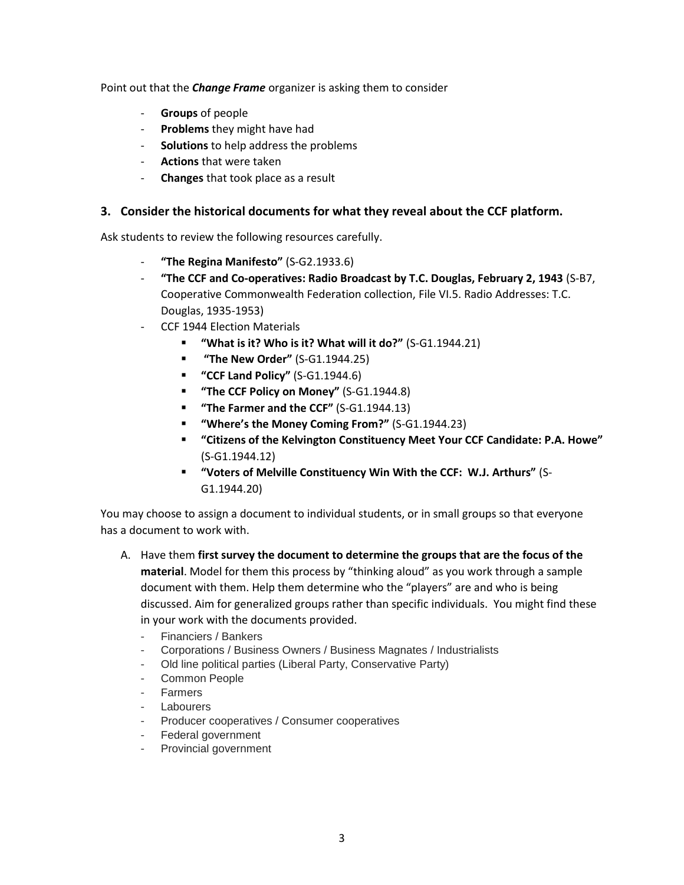Point out that the *Change Frame* organizer is asking them to consider

- **Groups** of people
- **Problems** they might have had
- **Solutions** to help address the problems
- **Actions** that were taken
- **Changes** that took place as a result

#### **3. Consider the historical documents for what they reveal about the CCF platform.**

Ask students to review the following resources carefully.

- **"The Regina Manifesto"** (S-G2.1933.6)
- **"The CCF and Co-operatives: Radio Broadcast by T.C. Douglas, February 2, 1943** (S-B7, Cooperative Commonwealth Federation collection, File VI.5. Radio Addresses: T.C. Douglas, 1935-1953)
- CCF 1944 Election Materials
	- **"What is it? Who is it? What will it do?"** (S-G1.1944.21)
	- **"The New Order"** (S-G1.1944.25)
	- **"CCF Land Policy"** (S-G1.1944.6)
	- **"The CCF Policy on Money"** (S-G1.1944.8)
	- **"The Farmer and the CCF"** (S-G1.1944.13)
	- **"Where's the Money Coming From?"** (S-G1.1944.23)
	- **"Citizens of the Kelvington Constituency Meet Your CCF Candidate: P.A. Howe"** (S-G1.1944.12)
	- **"Voters of Melville Constituency Win With the CCF: W.J. Arthurs"** (S-G1.1944.20)

You may choose to assign a document to individual students, or in small groups so that everyone has a document to work with.

- A. Have them **first survey the document to determine the groups that are the focus of the material**. Model for them this process by "thinking aloud" as you work through a sample document with them. Help them determine who the "players" are and who is being discussed. Aim for generalized groups rather than specific individuals. You might find these in your work with the documents provided.
	- Financiers / Bankers
	- Corporations / Business Owners / Business Magnates / Industrialists
	- Old line political parties (Liberal Party, Conservative Party)
	- Common People
	- Farmers
	- **Labourers**
	- Producer cooperatives / Consumer cooperatives
	- Federal government
	- Provincial government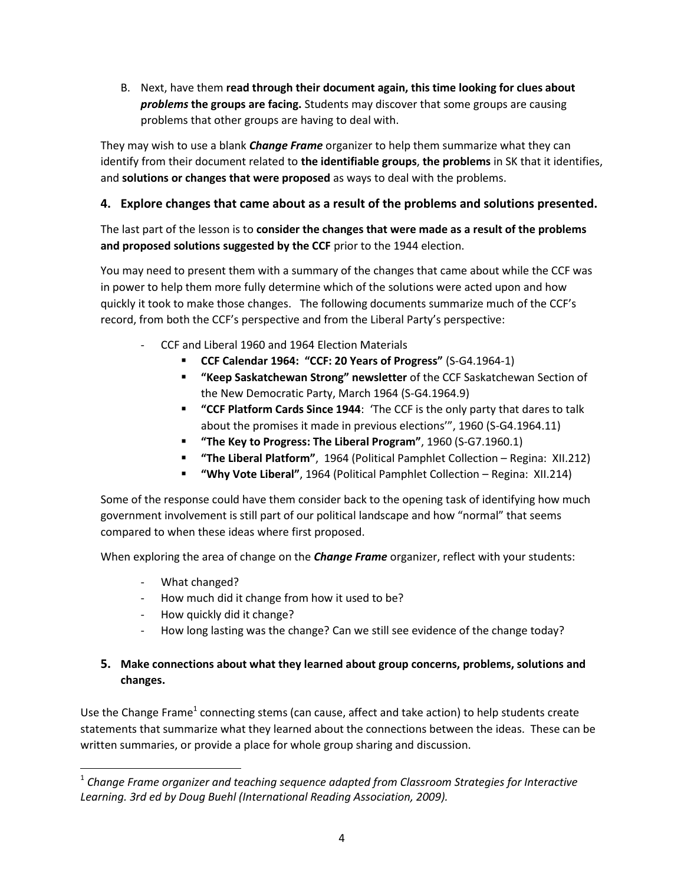B. Next, have them **read through their document again, this time looking for clues about**  *problems* **the groups are facing.** Students may discover that some groups are causing problems that other groups are having to deal with.

They may wish to use a blank *Change Frame* organizer to help them summarize what they can identify from their document related to **the identifiable groups**, **the problems** in SK that it identifies, and **solutions or changes that were proposed** as ways to deal with the problems.

### **4. Explore changes that came about as a result of the problems and solutions presented.**

The last part of the lesson is to **consider the changes that were made as a result of the problems and proposed solutions suggested by the CCF** prior to the 1944 election.

You may need to present them with a summary of the changes that came about while the CCF was in power to help them more fully determine which of the solutions were acted upon and how quickly it took to make those changes. The following documents summarize much of the CCF's record, from both the CCF's perspective and from the Liberal Party's perspective:

- CCF and Liberal 1960 and 1964 Election Materials
	- **CCF Calendar 1964: "CCF: 20 Years of Progress"** (S-G4.1964-1)
	- **"Keep Saskatchewan Strong" newsletter** of the CCF Saskatchewan Section of the New Democratic Party, March 1964 (S-G4.1964.9)
	- **"CCF Platform Cards Since 1944**: 'The CCF is the only party that dares to talk about the promises it made in previous elections'", 1960 (S-G4.1964.11)
	- **"The Key to Progress: The Liberal Program"**, 1960 (S-G7.1960.1)
	- **"The Liberal Platform"**, 1964 (Political Pamphlet Collection Regina: XII.212)
	- **"Why Vote Liberal"**, 1964 (Political Pamphlet Collection Regina: XII.214)

Some of the response could have them consider back to the opening task of identifying how much government involvement is still part of our political landscape and how "normal" that seems compared to when these ideas where first proposed.

When exploring the area of change on the *Change Frame* organizer, reflect with your students:

- What changed?

 $\overline{\phantom{a}}$ 

- How much did it change from how it used to be?
- How quickly did it change?
- How long lasting was the change? Can we still see evidence of the change today?

### **5. Make connections about what they learned about group concerns, problems, solutions and changes.**

Use the Change Frame<sup>1</sup> connecting stems (can cause, affect and take action) to help students create statements that summarize what they learned about the connections between the ideas. These can be written summaries, or provide a place for whole group sharing and discussion.

 $^{\rm 1}$  Change Frame organizer and teaching sequence adapted from Classroom Strategies for Interactive *Learning. 3rd ed by Doug Buehl (International Reading Association, 2009).*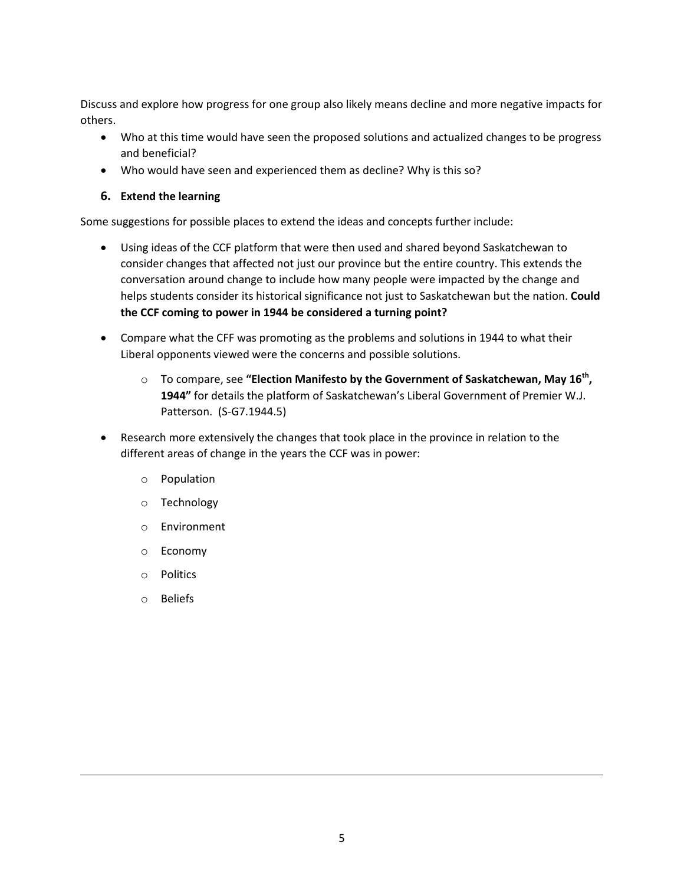Discuss and explore how progress for one group also likely means decline and more negative impacts for others.

- Who at this time would have seen the proposed solutions and actualized changes to be progress and beneficial?
- Who would have seen and experienced them as decline? Why is this so?

#### **6. Extend the learning**

Some suggestions for possible places to extend the ideas and concepts further include:

- Using ideas of the CCF platform that were then used and shared beyond Saskatchewan to consider changes that affected not just our province but the entire country. This extends the conversation around change to include how many people were impacted by the change and helps students consider its historical significance not just to Saskatchewan but the nation. **Could the CCF coming to power in 1944 be considered a turning point?**
- Compare what the CFF was promoting as the problems and solutions in 1944 to what their Liberal opponents viewed were the concerns and possible solutions.
	- o To compare, see **"Election Manifesto by the Government of Saskatchewan, May 16th , 1944"** for details the platform of Saskatchewan's Liberal Government of Premier W.J. Patterson. (S-G7.1944.5)
- Research more extensively the changes that took place in the province in relation to the different areas of change in the years the CCF was in power:
	- o Population
	- o Technology
	- o Environment
	- o Economy
	- o Politics
	- o Beliefs

 $\overline{\phantom{a}}$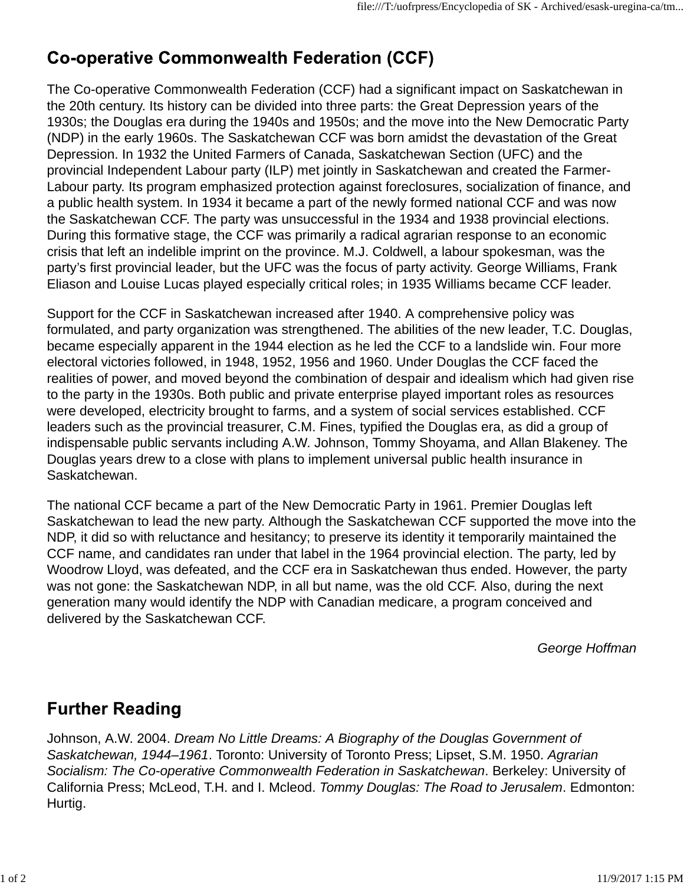# **Co-operative Commonwealth Federation (CCF)**

The Co-operative Commonwealth Federation (CCF) had a significant impact on Saskatchewan in the 20th century. Its history can be divided into three parts: the Great Depression years of the 1930s; the Douglas era during the 1940s and 1950s; and the move into the New Democratic Party (NDP) in the early 1960s. The Saskatchewan CCF was born amidst the devastation of the Great Depression. In 1932 the United Farmers of Canada, Saskatchewan Section (UFC) and the provincial Independent Labour party (ILP) met jointly in Saskatchewan and created the Farmer-Labour party. Its program emphasized protection against foreclosures, socialization of finance, and a public health system. In 1934 it became a part of the newly formed national CCF and was now the Saskatchewan CCF. The party was unsuccessful in the 1934 and 1938 provincial elections. During this formative stage, the CCF was primarily a radical agrarian response to an economic crisis that left an indelible imprint on the province. M.J. Coldwell, a labour spokesman, was the party's first provincial leader, but the UFC was the focus of party activity. George Williams, Frank Eliason and Louise Lucas played especially critical roles; in 1935 Williams became CCF leader.

Support for the CCF in Saskatchewan increased after 1940. A comprehensive policy was formulated, and party organization was strengthened. The abilities of the new leader, T.C. Douglas, became especially apparent in the 1944 election as he led the CCF to a landslide win. Four more electoral victories followed, in 1948, 1952, 1956 and 1960. Under Douglas the CCF faced the realities of power, and moved beyond the combination of despair and idealism which had given rise to the party in the 1930s. Both public and private enterprise played important roles as resources were developed, electricity brought to farms, and a system of social services established. CCF leaders such as the provincial treasurer, C.M. Fines, typified the Douglas era, as did a group of indispensable public servants including A.W. Johnson, Tommy Shoyama, and Allan Blakeney. The Douglas years drew to a close with plans to implement universal public health insurance in Saskatchewan.

The national CCF became a part of the New Democratic Party in 1961. Premier Douglas left Saskatchewan to lead the new party. Although the Saskatchewan CCF supported the move into the NDP, it did so with reluctance and hesitancy; to preserve its identity it temporarily maintained the CCF name, and candidates ran under that label in the 1964 provincial election. The party, led by Woodrow Lloyd, was defeated, and the CCF era in Saskatchewan thus ended. However, the party was not gone: the Saskatchewan NDP, in all but name, was the old CCF. Also, during the next generation many would identify the NDP with Canadian medicare, a program conceived and delivered by the Saskatchewan CCF.

*George Hoffman*

## **Further Reading**

Johnson, A.W. 2004. *Dream No Little Dreams: A Biography of the Douglas Government of Saskatchewan, 1944–1961*. Toronto: University of Toronto Press; Lipset, S.M. 1950. *Agrarian Socialism: The Co-operative Commonwealth Federation in Saskatchewan*. Berkeley: University of California Press; McLeod, T.H. and I. Mcleod. *Tommy Douglas: The Road to Jerusalem*. Edmonton: Hurtig.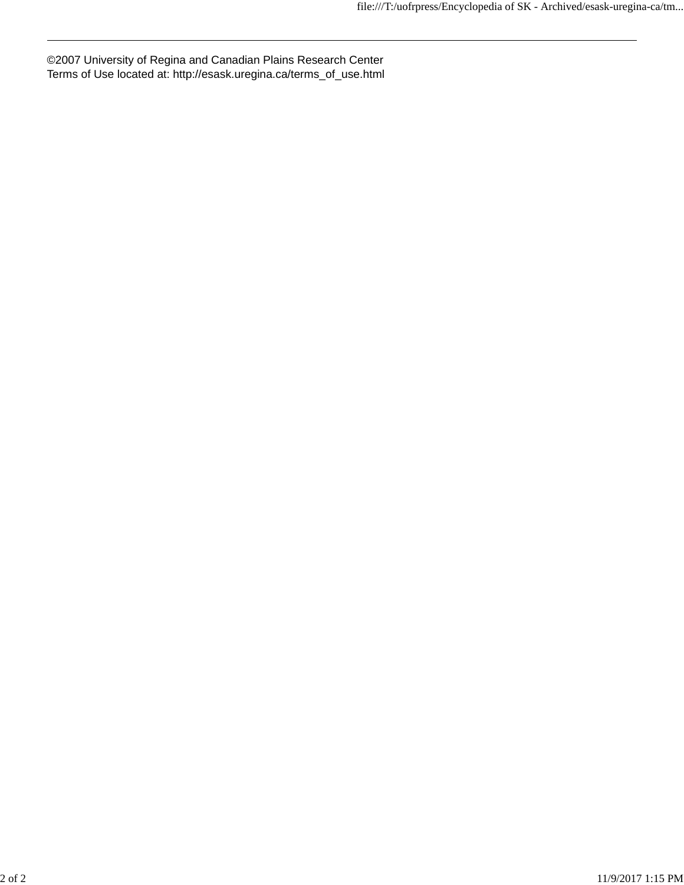©2007 University of Regina and Canadian Plains Research Center Terms of Use located at: http://esask.uregina.ca/terms\_of\_use.html